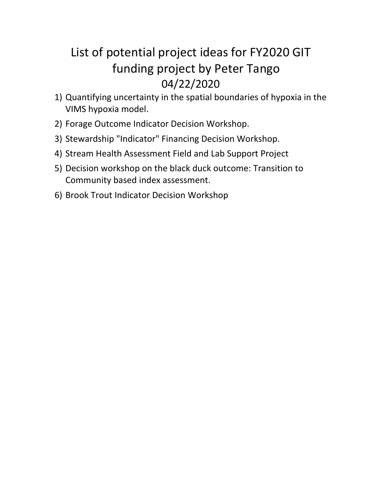# List of potential project ideas for FY2020 GIT funding project by Peter Tango 04/22/2020

- 1) [Quantifying uncertainty in the spatial boundaries of hypoxia in the](#page-1-0)  [VIMS hypoxia model.](#page-1-0)
- 2) [Forage Outcome Indicator Decision Workshop.](#page-1-1)
- 3) [Stewardship "Indicator" Financing Decision Workshop.](#page-2-0)
- 4) [Stream Health Assessment Field and Lab Support Project](#page-2-1)
- 5) [Decision workshop on the black duck outcome: Transition to](#page-3-0)  [Community based index assessment.](#page-3-0)
- 6) [Brook Trout Indicator Decision Workshop](#page-3-1)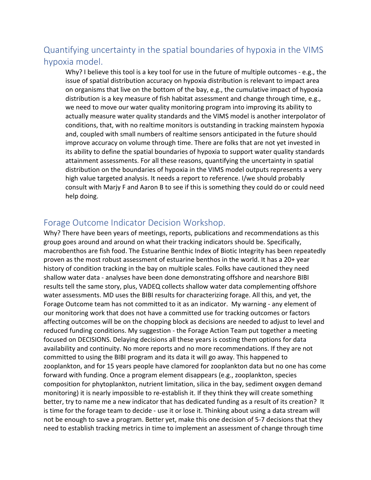## <span id="page-1-0"></span>Quantifying uncertainty in the spatial boundaries of hypoxia in the VIMS hypoxia model.

Why? I believe this tool is a key tool for use in the future of multiple outcomes - e.g., the issue of spatial distribution accuracy on hypoxia distribution is relevant to impact area on organisms that live on the bottom of the bay, e.g., the cumulative impact of hypoxia distribution is a key measure of fish habitat assessment and change through time, e.g., we need to move our water quality monitoring program into improving its ability to actually measure water quality standards and the VIMS model is another interpolator of conditions, that, with no realtime monitors is outstanding in tracking mainstem hypoxia and, coupled with small numbers of realtime sensors anticipated in the future should improve accuracy on volume through time. There are folks that are not yet invested in its ability to define the spatial boundaries of hypoxia to support water quality standards attainment assessments. For all these reasons, quantifying the uncertainty in spatial distribution on the boundaries of hypoxia in the VIMS model outputs represents a very high value targeted analysis. It needs a report to reference. I/we should probably consult with Marjy F and Aaron B to see if this is something they could do or could need help doing.

#### <span id="page-1-1"></span>Forage Outcome Indicator Decision Workshop.

Why? There have been years of meetings, reports, publications and recommendations as this group goes around and around on what their tracking indicators should be. Specifically, macrobenthos are fish food. The Estuarine Benthic Index of Biotic Integrity has been repeatedly proven as the most robust assessment of estuarine benthos in the world. It has a 20+ year history of condition tracking in the bay on multiple scales. Folks have cautioned they need shallow water data - analyses have been done demonstrating offshore and nearshore BIBI results tell the same story, plus, VADEQ collects shallow water data complementing offshore water assessments. MD uses the BIBI results for characterizing forage. All this, and yet, the Forage Outcome team has not committed to it as an indicator. My warning - any element of our monitoring work that does not have a committed use for tracking outcomes or factors affecting outcomes will be on the chopping block as decisions are needed to adjust to level and reduced funding conditions. My suggestion - the Forage Action Team put together a meeting focused on DECISIONS. Delaying decisions all these years is costing them options for data availability and continuity. No more reports and no more recommendations. If they are not committed to using the BIBI program and its data it will go away. This happened to zooplankton, and for 15 years people have clamored for zooplankton data but no one has come forward with funding. Once a program element disappears (e.g., zooplankton, species composition for phytoplankton, nutrient limitation, silica in the bay, sediment oxygen demand monitoring) it is nearly impossible to re-establish it. If they think they will create something better, try to name me a new indicator that has dedicated funding as a result of its creation? It is time for the forage team to decide - use it or lose it. Thinking about using a data stream will not be enough to save a program. Better yet, make this one decision of 5-7 decisions that they need to establish tracking metrics in time to implement an assessment of change through time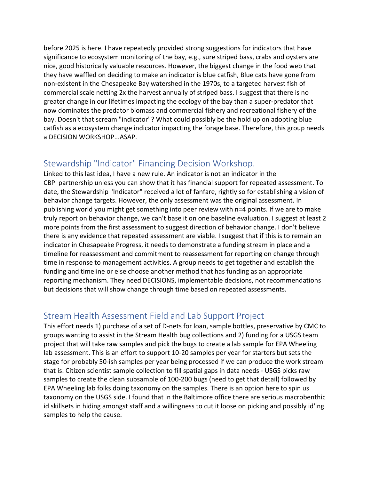before 2025 is here. I have repeatedly provided strong suggestions for indicators that have significance to ecosystem monitoring of the bay, e.g., sure striped bass, crabs and oysters are nice, good historically valuable resources. However, the biggest change in the food web that they have waffled on deciding to make an indicator is blue catfish, Blue cats have gone from non-existent in the Chesapeake Bay watershed in the 1970s, to a targeted harvest fish of commercial scale netting 2x the harvest annually of striped bass. I suggest that there is no greater change in our lifetimes impacting the ecology of the bay than a super-predator that now dominates the predator biomass and commercial fishery and recreational fishery of the bay. Doesn't that scream "indicator"? What could possibly be the hold up on adopting blue catfish as a ecosystem change indicator impacting the forage base. Therefore, this group needs a DECISION WORKSHOP...ASAP.

#### <span id="page-2-0"></span>Stewardship "Indicator" Financing Decision Workshop.

Linked to this last idea, I have a new rule. An indicator is not an indicator in the CBP partnership unless you can show that it has financial support for repeated assessment. To date, the Stewardship "Indicator" received a lot of fanfare, rightly so for establishing a vision of behavior change targets. However, the only assessment was the original assessment. In publishing world you might get something into peer review with n=4 points. If we are to make truly report on behavior change, we can't base it on one baseline evaluation. I suggest at least 2 more points from the first assessment to suggest direction of behavior change. I don't believe there is any evidence that repeated assessment are viable. I suggest that if this is to remain an indicator in Chesapeake Progress, it needs to demonstrate a funding stream in place and a timeline for reassessment and commitment to reassessment for reporting on change through time in response to management activities. A group needs to get together and establish the funding and timeline or else choose another method that has funding as an appropriate reporting mechanism. They need DECISIONS, implementable decisions, not recommendations but decisions that will show change through time based on repeated assessments.

#### <span id="page-2-1"></span>Stream Health Assessment Field and Lab Support Project

This effort needs 1) purchase of a set of D-nets for loan, sample bottles, preservative by CMC to groups wanting to assist in the Stream Health bug collections and 2) funding for a USGS team project that will take raw samples and pick the bugs to create a lab sample for EPA Wheeling lab assessment. This is an effort to support 10-20 samples per year for starters but sets the stage for probably 50-ish samples per year being processed if we can produce the work stream that is: Citizen scientist sample collection to fill spatial gaps in data needs - USGS picks raw samples to create the clean subsample of 100-200 bugs (need to get that detail) followed by EPA Wheeling lab folks doing taxonomy on the samples. There is an option here to spin us taxonomy on the USGS side. I found that in the Baltimore office there are serious macrobenthic id skillsets in hiding amongst staff and a willingness to cut it loose on picking and possibly id'ing samples to help the cause.